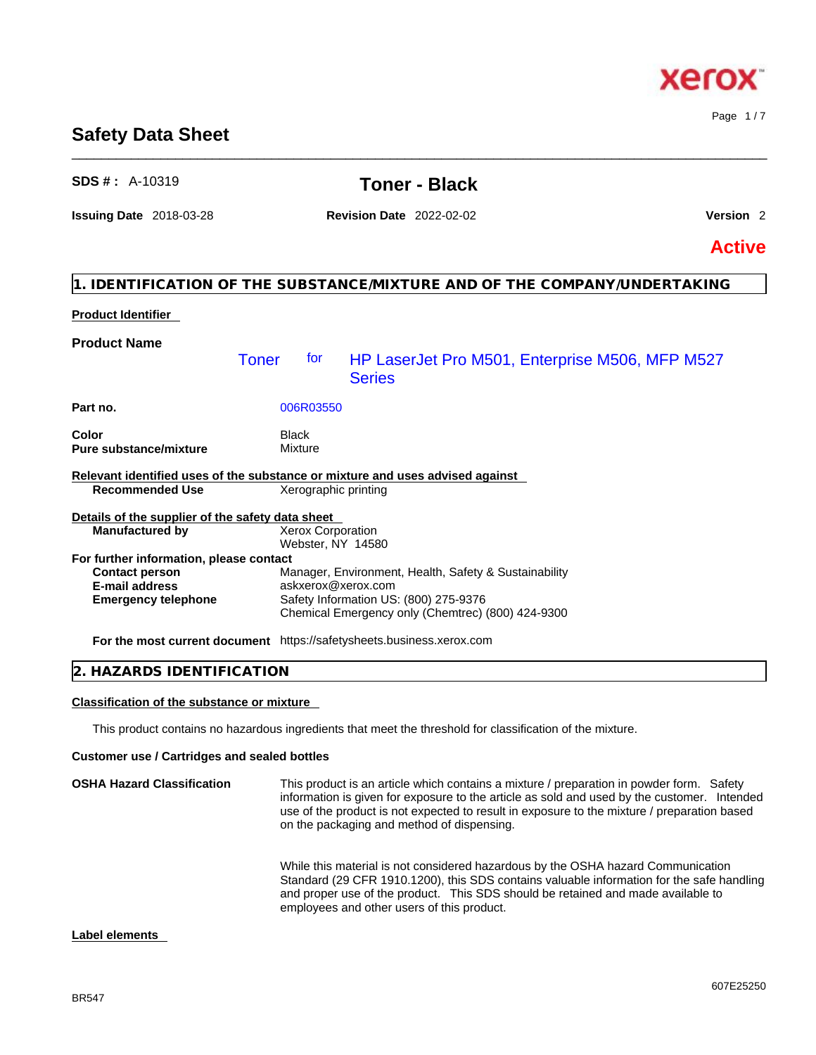## BR547

**Label elements** 

# **Safety Data Sheet**

# **Product Identifier Product Name Part no.** 006R03550 **Color** Black **Pure substance/mixture** Mixture **Relevant identified uses of the substance or mixture and uses advised against Recommended Use Details of the supplier of the safety data sheet For further information, please contact Emergency telephone** Safety Information US: (800) 275-9376 Chemical Emergency only (Chemtrec) (800) 424-9300 Toner for HP LaserJet Pro M501, Enterprise M506, MFP M527 **Series Manufactured by** Xerox Corporation Webster, NY 14580 **Contact person** Manager, Environment, Health, Safety & Sustainability **E-mail address** askxerox@xerox.com

**For the most current document** https://safetysheets.business.xerox.com

|  | 2. HAZARDS IDENTIFICATION |  |
|--|---------------------------|--|
|--|---------------------------|--|

## **Classification of the substance or mixture**

This product contains no hazardous ingredients that meet the threshold for classification of the mixture.

### **Customer use / Cartridges and sealed bottles**

| <b>OSHA Hazard Classification</b> | This product is an article which contains a mixture / preparation in powder form. Safety<br>information is given for exposure to the article as sold and used by the customer. Intended<br>use of the product is not expected to result in exposure to the mixture / preparation based<br>on the packaging and method of dispensing. |
|-----------------------------------|--------------------------------------------------------------------------------------------------------------------------------------------------------------------------------------------------------------------------------------------------------------------------------------------------------------------------------------|
|                                   | While this material is not considered hazardous by the OSHA hazard Communication<br>Standard (29 CFR 1910.1200), this SDS contains valuable information for the safe handling<br>and proper use of the product. This SDS should be retained and made available to<br>employees and other users of this product.                      |

# **SDS # :** A-10319 **Toner - Black**

\_\_\_\_\_\_\_\_\_\_\_\_\_\_\_\_\_\_\_\_\_\_\_\_\_\_\_\_\_\_\_\_\_\_\_\_\_\_\_\_\_\_\_\_\_\_\_\_\_\_\_\_\_\_\_\_\_\_\_\_\_\_\_\_\_\_\_\_\_\_\_\_\_\_\_\_\_\_\_\_\_\_\_\_\_\_\_\_\_\_\_\_\_\_

**Issuing Date** 2018-03-28 **Revision Date** 2022-02-02 **Version** 2

**1. IDENTIFICATION OF THE SUBSTANCE/MIXTURE AND OF THE COMPANY/UNDERTAKING** 

**Active**

# xero

Page 1 / 7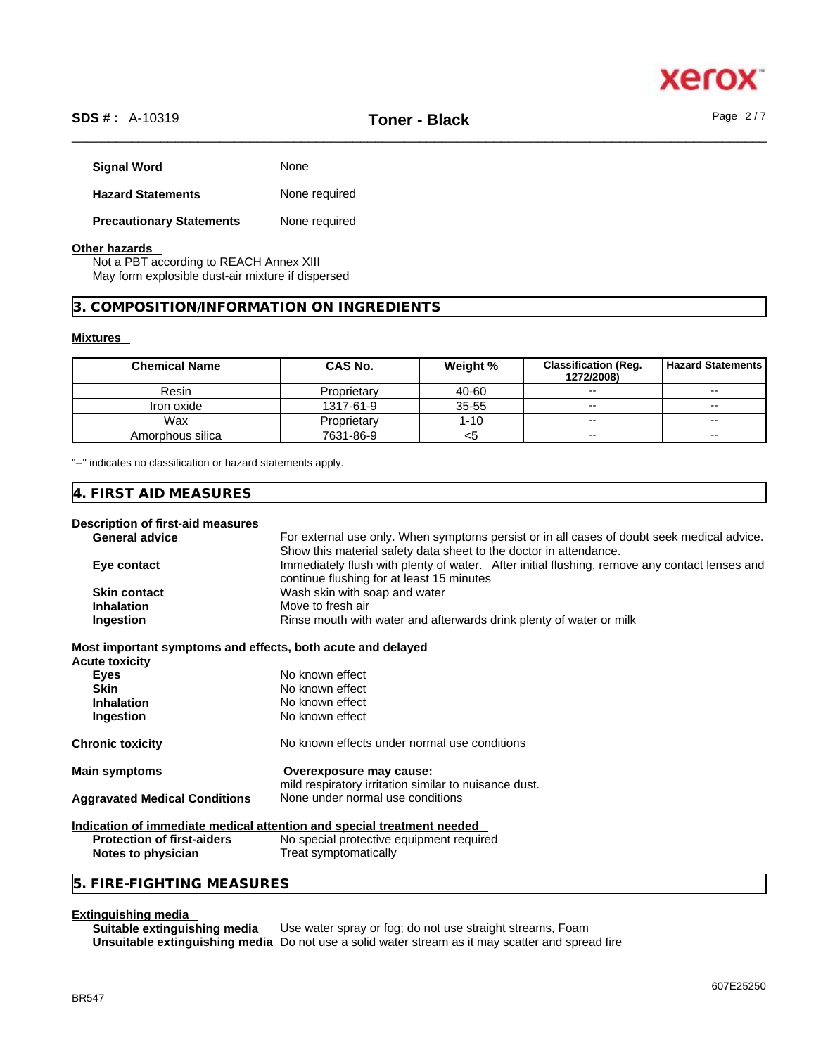

# \_\_\_\_\_\_\_\_\_\_\_\_\_\_\_\_\_\_\_\_\_\_\_\_\_\_\_\_\_\_\_\_\_\_\_\_\_\_\_\_\_\_\_\_\_\_\_\_\_\_\_\_\_\_\_\_\_\_\_\_\_\_\_\_\_\_\_\_\_\_\_\_\_\_\_\_\_\_\_\_\_\_\_\_\_\_\_\_\_\_\_\_\_\_ **SDS # :** A-10319 **Toner - Black** Page 2 / 7

| <b>Signal Word</b>              | None          |
|---------------------------------|---------------|
| <b>Hazard Statements</b>        | None required |
| <b>Precautionary Statements</b> | None required |

## **Other hazards**

Not a PBT according to REACH Annex XIII May form explosible dust-air mixture if dispersed

# **3. COMPOSITION/INFORMATION ON INGREDIENTS**

# **Mixtures**

| <b>Chemical Name</b> | <b>CAS No.</b> | Weight %  | <b>Classification (Reg.</b><br>1272/2008) | <b>Hazard Statements</b> |
|----------------------|----------------|-----------|-------------------------------------------|--------------------------|
| Resin                | Proprietary    | 40-60     | $\overline{\phantom{a}}$                  | $\sim$                   |
| Iron oxide           | 1317-61-9      | $35 - 55$ | $\sim$                                    | $\sim$ $\sim$            |
| Wax                  | Proprietary    | $1 - 10$  | $\sim$ $\sim$                             | $\sim$ $\sim$            |
| Amorphous silica     | 7631-86-9      | <5        | $\sim$                                    | $\sim$ $\sim$            |

"--" indicates no classification or hazard statements apply.

# **4. FIRST AID MEASURES**

#### **Description of first-aid measures**

General **advice** For external use only. When symptoms persist or in all cases of doubt seek medical advice. Show this material safety data sheet to the doctor in attendance. **Eye contact** Immediately flush with plenty of water. After initial flushing, remove any contact lenses and continue flushing for at least 15 minutes **Skin contact** Wash skin with soap and water<br> **Inhalation** Move to fresh air **Move to fresh air Ingestion Rinse mouth with water and afterwards drink plenty of water or milk** 

#### **Most important symptoms and effects, both acute and delayed**

| <b>Acute toxicity</b>                |                                                                                  |
|--------------------------------------|----------------------------------------------------------------------------------|
| <b>Eves</b>                          | No known effect                                                                  |
| <b>Skin</b>                          | No known effect                                                                  |
| <b>Inhalation</b>                    | No known effect                                                                  |
| Ingestion                            | No known effect                                                                  |
| <b>Chronic toxicity</b>              | No known effects under normal use conditions                                     |
| <b>Main symptoms</b>                 | Overexposure may cause:<br>mild respiratory irritation similar to nuisance dust. |
| <b>Aggravated Medical Conditions</b> | None under normal use conditions                                                 |
|                                      | Indication of immediate medical attention and special treatment needed           |

|                                   | <u>Mundanon of Millibalate Medical attention and special treatment needed</u> |
|-----------------------------------|-------------------------------------------------------------------------------|
| <b>Protection of first-aiders</b> | No special protective equipment required                                      |
| Notes to physician                | Treat symptomatically                                                         |

# **5. FIRE-FIGHTING MEASURES**

# **Extinguishing media**

**Suitable extinguishing media** Use water spray or fog; do not use straight streams, Foam **Unsuitable extinguishing media** Do not use a solid water stream as it may scatterand spread fire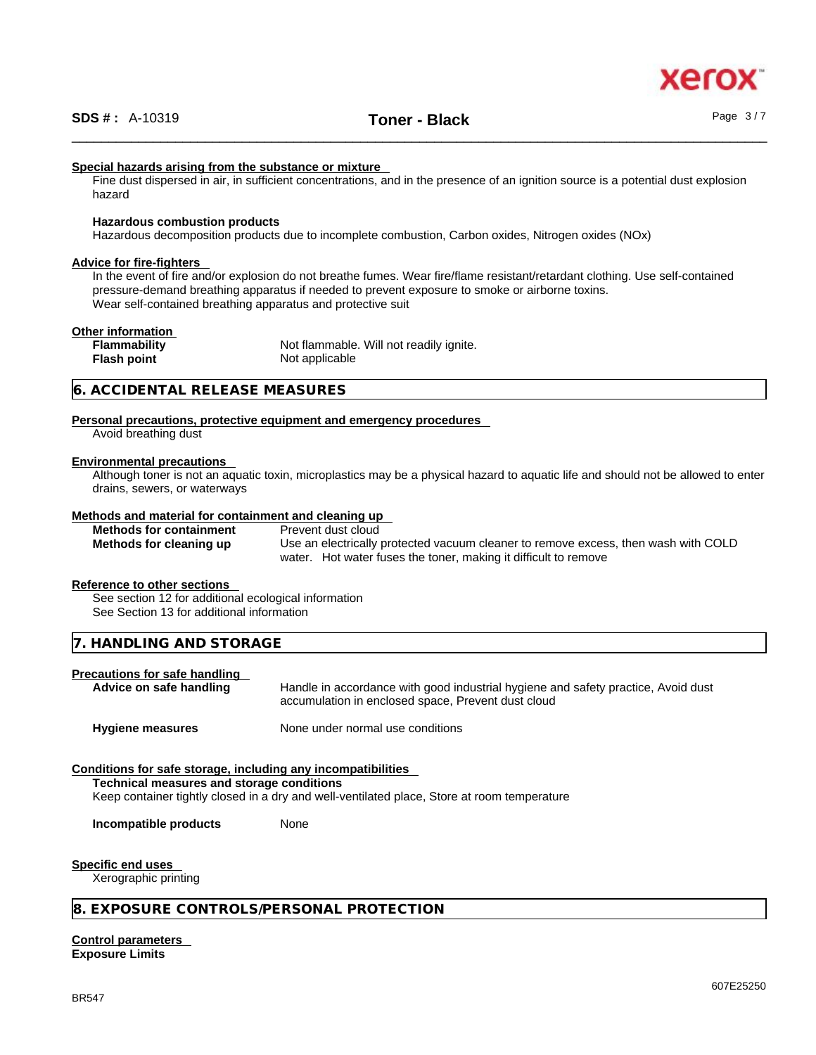## **Special hazards arising from the substance or mixture**

Fine dust dispersed in air, in sufficient concentrations, and in the presence of an ignition source is a potential dust explosion hazard

# **Hazardous combustion products**

Hazardous decomposition products due to incomplete combustion, Carbon oxides, Nitrogen oxides (NOx)

#### **Advice for fire-fighters**

In the event of fire and/or explosion do not breathe fumes. Wear fire/flame resistant/retardant clothing. Use self-contained pressure-demand breathing apparatus if needed to prevent exposure to smoke or airborne toxins. Wear self-contained breathing apparatus and protective suit

## **Other information**

**Flammability** Not flammable. Will not readily ignite. **Flash point** Not applicable

# **6. ACCIDENTAL RELEASE MEASURES**

## **Personal precautions, protective equipment and emergency procedures** Avoid breathing dust

# **Environmental precautions**

Although toner is not an aquatic toxin, microplastics may be a physical hazard to aquatic life and should not be allowed to enter drains, sewers, or waterways

#### **Methods and material for containment and cleaning up**

| <b>Methods for containment</b> | Prevent dust cloud                                                                 |
|--------------------------------|------------------------------------------------------------------------------------|
| Methods for cleaning up        | Use an electrically protected vacuum cleaner to remove excess, then wash with COLD |
|                                | water. Hot water fuses the toner, making it difficult to remove                    |

#### **Reference to other sections**

See section 12 for additional ecological information See Section 13 for additional information

**7. HANDLING AND STORAGE** 

# **Precautions for safe handling**

**Advice on safe handling** Handle in accordance with good industrial hygiene and safety practice, Avoid dust accumulation in enclosed space, Prevent dust cloud

**Hygiene measures** None under normal use conditions

# **Conditions for safe storage, including any incompatibilities**

**Technical measures and storage conditions**

Keep container tightly closed in a dry and well-ventilated place, Store at room temperature

**Incompatible products** None

# **Specific end uses**

Xerographic printing

# **8. EXPOSURE CONTROLS/PERSONAL PROTECTION**

**Control parameters Exposure Limits**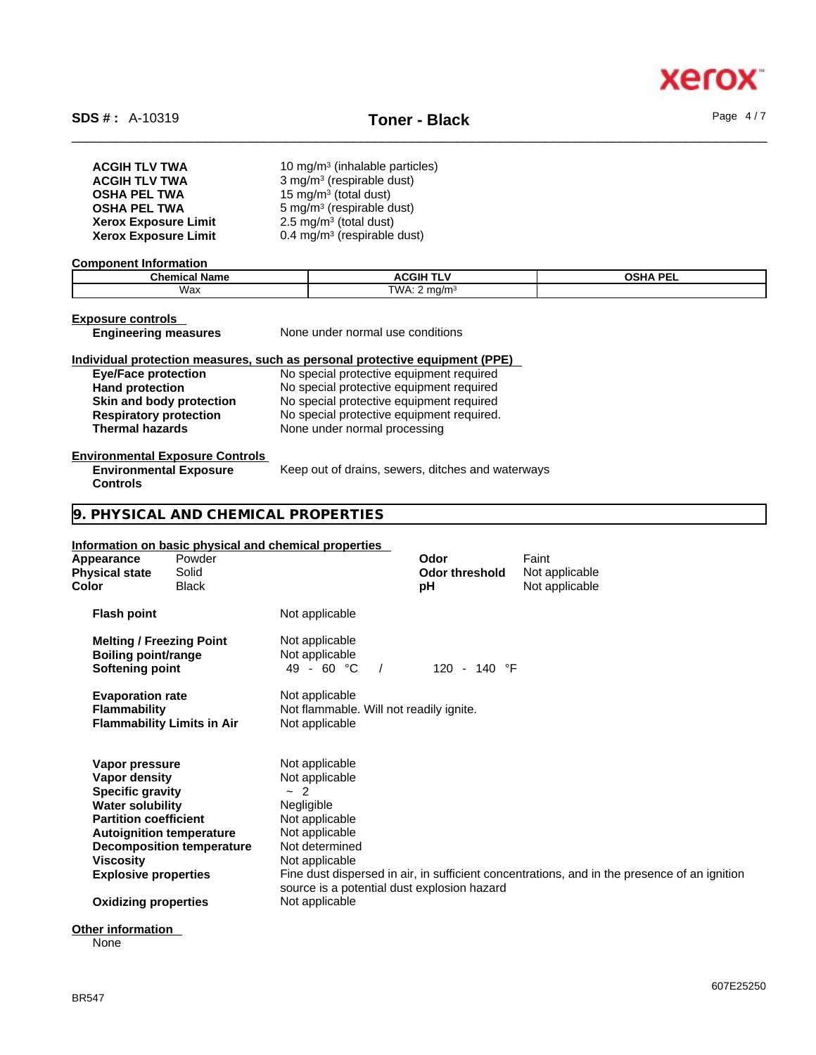

| <b>ACGIH TLV TWA</b>        | 10 mg/m <sup>3</sup> (inhalable particles) |
|-----------------------------|--------------------------------------------|
| <b>ACGIH TLV TWA</b>        | 3 mg/m <sup>3</sup> (respirable dust)      |
| <b>OSHA PEL TWA</b>         | 15 mg/m <sup>3</sup> (total dust)          |
| <b>OSHA PEL TWA</b>         | 5 mg/m <sup>3</sup> (respirable dust)      |
| <b>Xerox Exposure Limit</b> | $2.5 \text{ mg/m}^3$ (total dust)          |
| <b>Xerox Exposure Limit</b> | 0.4 mg/m <sup>3</sup> (respirable dust)    |

#### **Component Information**

| $\sim$<br>----<br>ше | .<br>.:GIF                                   | $-$<br>∩SH∆<br>-- |
|----------------------|----------------------------------------------|-------------------|
| Wax                  | <b>TWA</b><br>---<br>17 L<br><b>v</b> v / \. |                   |

# **Exposure controls**<br>**Engineering measures**

**Controls** 

**None under normal use conditions** 

# **Individual protection measures, such as personal protective equipment (PPE)**

**Eye/Face protection**<br> **Exercise 2** No special protective equipment required<br>
No special protective equipment required **Hand protection** No special protective equipment required **Skin and body protection** No special protective equipment required<br> **Respiratory protection** No special protective equipment required. **Respiratory protection** No special protective equipment required.<br> **Thermal hazards** None under normal processing **Thermal hazards** None under normal processing

### **Environmental Exposure Controls**

**Environmental Exposure** Keep out of drains, sewers, ditches and waterways

# **9. PHYSICAL AND CHEMICAL PROPERTIES**

#### **Information on basic physical and chemical properties**

| <b>Flash point</b><br>Not applicable<br>Not applicable<br><b>Melting / Freezing Point</b><br><b>Boiling point/range</b><br>Not applicable<br>$49 - 60 °C$<br>120 - 140 °F<br>Softening point<br><b>Evaporation rate</b><br>Not applicable<br><b>Flammability</b><br>Not flammable. Will not readily ignite.<br><b>Flammability Limits in Air</b><br>Not applicable<br>Not applicable<br>Vapor pressure<br>Not applicable<br>Vapor density<br>$\sim$ 2<br><b>Specific gravity</b><br>Negligible<br><b>Water solubility</b><br><b>Partition coefficient</b><br>Not applicable<br>Not applicable<br><b>Autoignition temperature</b><br>Not determined<br><b>Decomposition temperature</b><br>Viscosity<br>Not applicable<br>Fine dust dispersed in air, in sufficient concentrations, and in the presence of an ignition<br><b>Explosive properties</b><br>source is a potential dust explosion hazard<br>Not applicable<br><b>Oxidizing properties</b> | Appearance<br><b>Physical state</b><br>Color | Powder<br>Solid<br>Black | Odor<br><b>Odor threshold</b><br>рH | Faint<br>Not applicable<br>Not applicable |
|------------------------------------------------------------------------------------------------------------------------------------------------------------------------------------------------------------------------------------------------------------------------------------------------------------------------------------------------------------------------------------------------------------------------------------------------------------------------------------------------------------------------------------------------------------------------------------------------------------------------------------------------------------------------------------------------------------------------------------------------------------------------------------------------------------------------------------------------------------------------------------------------------------------------------------------------------|----------------------------------------------|--------------------------|-------------------------------------|-------------------------------------------|
|                                                                                                                                                                                                                                                                                                                                                                                                                                                                                                                                                                                                                                                                                                                                                                                                                                                                                                                                                      |                                              |                          |                                     |                                           |
|                                                                                                                                                                                                                                                                                                                                                                                                                                                                                                                                                                                                                                                                                                                                                                                                                                                                                                                                                      |                                              |                          |                                     |                                           |
|                                                                                                                                                                                                                                                                                                                                                                                                                                                                                                                                                                                                                                                                                                                                                                                                                                                                                                                                                      |                                              |                          |                                     |                                           |
|                                                                                                                                                                                                                                                                                                                                                                                                                                                                                                                                                                                                                                                                                                                                                                                                                                                                                                                                                      |                                              |                          |                                     |                                           |
|                                                                                                                                                                                                                                                                                                                                                                                                                                                                                                                                                                                                                                                                                                                                                                                                                                                                                                                                                      |                                              |                          |                                     |                                           |

# **Other information**

None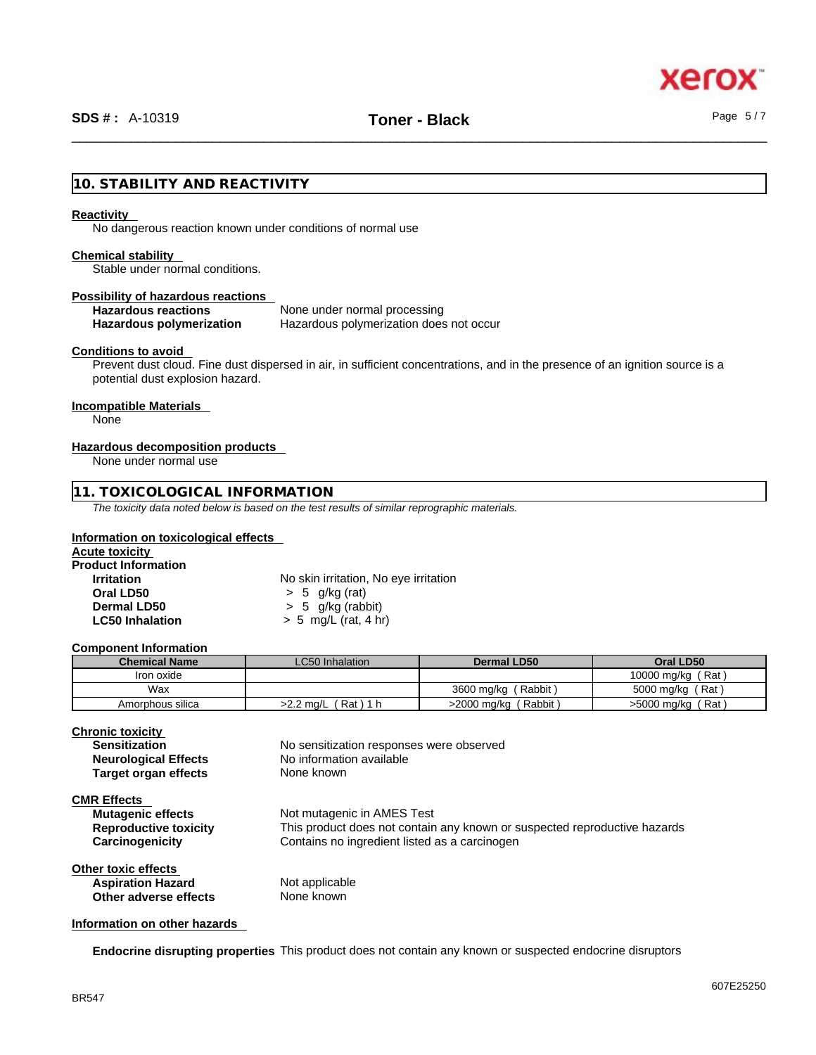

# **10. STABILITY AND REACTIVITY**

#### **Reactivity**

No dangerous reaction known under conditions of normal use

## **Chemical stability**

Stable under normal conditions.

# **Possibility of hazardous reactions**

**Hazardous reactions**<br> **Hazardous polymerization Hazardous polymerization does Hazardous polymerization does not occur** 

# **Conditions to avoid**

Prevent dust cloud. Fine dust dispersed in air, in sufficient concentrations, and in the presence of an ignition source is a potential dust explosion hazard.

#### **Incompatible Materials**

None

# **Hazardous decomposition products**

None under normal use

# **11. TOXICOLOGICAL INFORMATION**

*The toxicity data noted below is based on the test results of similar reprographic materials.* 

# **Information on toxicological effects**

| <b>Acute toxicity</b>      |                                       |  |
|----------------------------|---------------------------------------|--|
| <b>Product Information</b> |                                       |  |
| <b>Irritation</b>          | No skin irritation, No eye irritation |  |
| Oral LD50                  | $> 5$ g/kg (rat)                      |  |
| Dermal LD50                | $> 5$ g/kg (rabbit)                   |  |
| <b>LC50 Inhalation</b>     | $> 5$ mg/L (rat, 4 hr)                |  |

#### **Component Information**

| <b>Chemical Name</b> | <b>LC50 Inhalation</b>  | <b>Dermal LD50</b>      | Oral LD50         |
|----------------------|-------------------------|-------------------------|-------------------|
| Iron oxide           |                         |                         | 10000 mg/kg (Rat) |
| Wax                  |                         | 3600 mg/kg (Rabbit)     | 5000 mg/kg (Rat)  |
| Amorphous silica     | 「Rat)1 h<br>$>2.2$ mg/L | >2000 mg/kg<br>(Rabbit) | >5000 mg/kg (Rat) |

| <b>Chronic toxicity</b>      |                                                                           |
|------------------------------|---------------------------------------------------------------------------|
| <b>Sensitization</b>         | No sensitization responses were observed                                  |
| <b>Neurological Effects</b>  | No information available                                                  |
| <b>Target organ effects</b>  | None known                                                                |
| <b>CMR Effects</b>           |                                                                           |
| <b>Mutagenic effects</b>     | Not mutagenic in AMES Test                                                |
| <b>Reproductive toxicity</b> | This product does not contain any known or suspected reproductive hazards |
| Carcinogenicity              | Contains no ingredient listed as a carcinogen                             |
| Other toxic effects          |                                                                           |
| <b>Aspiration Hazard</b>     | Not applicable                                                            |
| Other adverse effects        | None known                                                                |
|                              |                                                                           |

# **Information on other hazards**

**Endocrine disrupting properties** This product does not contain any known or suspected endocrine disruptors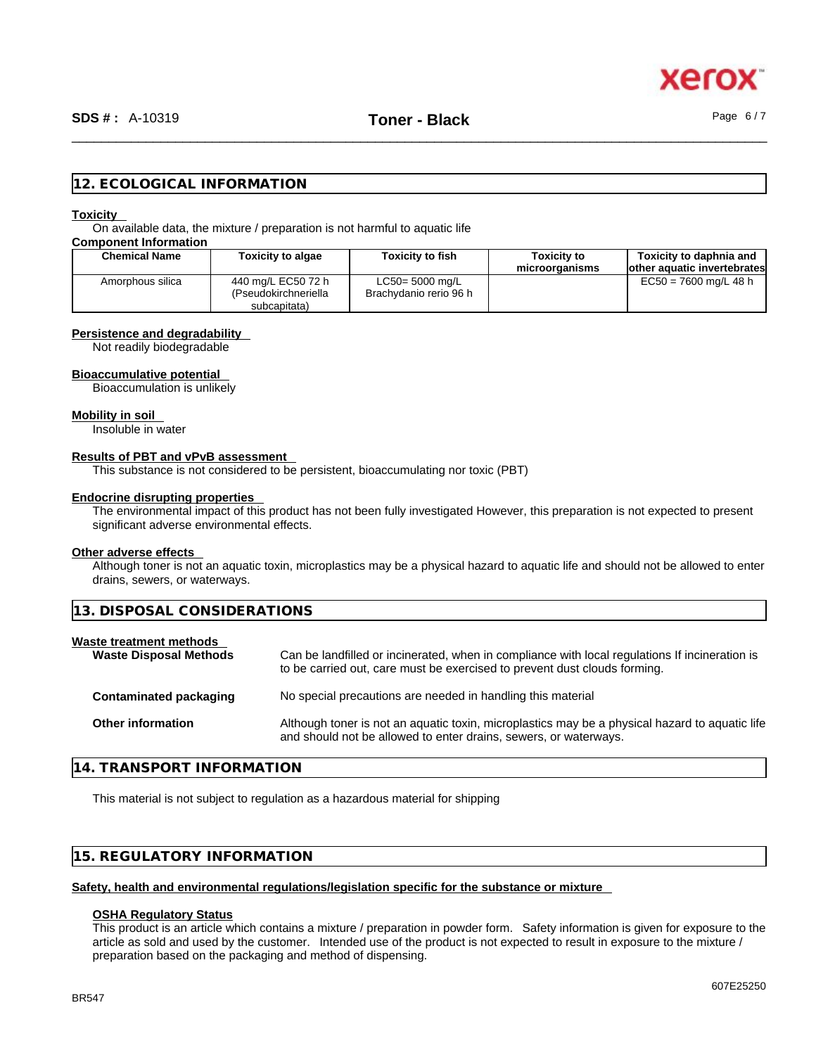

# **12. ECOLOGICAL INFORMATION**

#### **Toxicity**

On available data, the mixture / preparation is not harmful to aquatic life

**Component Information**

| <b>Chemical Name</b> | Toxicity to algae                                          | <b>Toxicity to fish</b>                      | Toxicity to<br>microorganisms | Toxicity to daphnia and<br>lother aquatic invertebrates |
|----------------------|------------------------------------------------------------|----------------------------------------------|-------------------------------|---------------------------------------------------------|
| Amorphous silica     | 440 mg/L EC50 72 h<br>(Pseudokirchneriella<br>subcapitata) | $LC50 = 5000$ mg/L<br>Brachydanio rerio 96 h |                               | $EC50 = 7600$ mg/L 48 h                                 |

#### **Persistence and degradability**

Not readily biodegradable

## **Bioaccumulative potential**

Bioaccumulation is unlikely

#### **Mobility in soil**

Insoluble in water

### **Results of PBT and vPvB assessment**

This substance is not considered to be persistent, bioaccumulating nor toxic (PBT)

# **Endocrine disrupting properties**

The environmental impact of this product has not been fully investigated However, this preparation is not expected to present significant adverse environmental effects.

# **Other adverse effects**

Although toner is not an aquatic toxin, microplastics may be a physical hazard to aquatic life and should not be allowed to enter drains, sewers, or waterways.

|  |  |  | 13. DISPOSAL CONSIDERATIONS |  |
|--|--|--|-----------------------------|--|
|--|--|--|-----------------------------|--|

| Can be landfilled or incinerated, when in compliance with local regulations If incineration is<br><b>Waste Disposal Methods</b><br>to be carried out, care must be exercised to prevent dust clouds forming. |
|--------------------------------------------------------------------------------------------------------------------------------------------------------------------------------------------------------------|
| No special precautions are needed in handling this material<br>Contaminated packaging                                                                                                                        |
| Although toner is not an aquatic toxin, microplastics may be a physical hazard to aquatic life<br>and should not be allowed to enter drains, sewers, or waterways.                                           |
|                                                                                                                                                                                                              |

# **14. TRANSPORT INFORMATION**

This material is not subject to regulation as a hazardous material for shipping

# **15. REGULATORY INFORMATION**

# **Safety, health and environmental regulations/legislation specific for the substance or mixture**

# **OSHA Regulatory Status**

This product is an article which contains a mixture / preparation in powder form. Safety information is given for exposure to the article as sold and used by the customer. Intended use of the product is not expected to result in exposure to the mixture / preparation based on the packaging and method of dispensing.